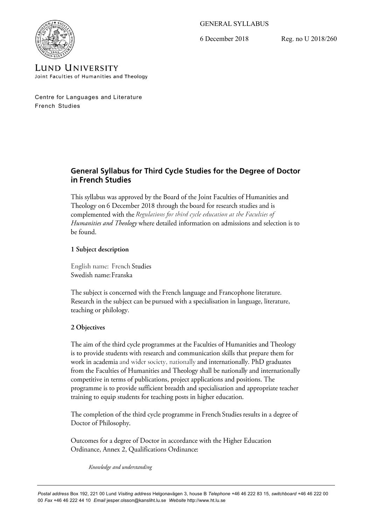GENERAL SYLLABUS

6 December 2018 Reg. no U 2018/260



**LUND UNIVERSITY** Joint Faculties of Humanities and Theology

Centre for Languages and Literature French Studies

# General Syllabus for Third Cycle Studies for the Degree of Doctor in French Studies

This syllabus was approved by the Board of the Joint Faculties of Humanities and Theology on 6 December 2018 through the board for research studies and is complemented with the Regulations for third cycle education at the Faculties of Humanities and Theology where detailed information on admissions and selection is to be found.

# 1 Subject description

English name: French Studies Swedish name: Franska

The subject is concerned with the French language and Francophone literature. Research in the subject can be pursued with a specialisation in language, literature, teaching or philology.

# 2 Objectives

The aim of the third cycle programmes at the Faculties of Humanities and Theology is to provide students with research and communication skills that prepare them for work in academia and wider society, nationally and internationally. PhD graduates from the Faculties of Humanities and Theology shall be nationally and internationally competitive in terms of publications, project applications and positions. The programme is to provide sufficient breadth and specialisation and appropriate teacher training to equip students for teaching posts in higher education.

The completion of the third cycle programme in French Studies results in a degree of Doctor of Philosophy.

Outcomes for a degree of Doctor in accordance with the Higher Education Ordinance, Annex 2, Qualifications Ordinance:

Knowledge and understanding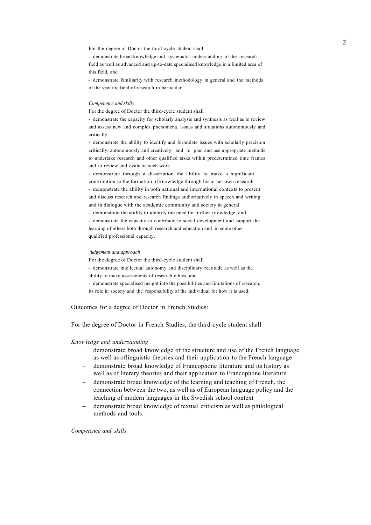For the degree of Doctor the third-cycle student shall

- demonstrate broad knowledge and systematic understanding of the research field as well as advanced and up-to-date specialised knowledge in a limited area of this field, and

- demonstrate familiarity with research methodology in general and the methods of the specific field of research in particular.

#### *Competence and skills*

For the degree of Doctor the third-cycle student shall

- demonstrate the capacity for scholarly analysis and synthesis as well as to review and assess new and complex phenomena, issues and situations autonomously and critically

- demonstrate the ability to identify and formulate issues with scholarly precision critically, autonomously and creatively, and to plan and use appropriate methods to undertake research and other qualified tasks within predetermined time frames and to review and evaluate such work

- demonstrate through a dissertation the ability to make a significant contribution to the formation of knowledge through his or her own research - demonstrate the ability in both national and international contexts to present and discuss research and research findings authoritatively in speech and writing and in dialogue with the academic community and society in general

- demonstrate the ability to identify the need for further knowledge, and

- demonstrate the capacity to contribute to social development and support the learning of others both through research and education and in some other qualified professional capacity.

#### *fudgement and approach*

For the degree of Doctor the third-cycle student shall

- demonstrate intellectual autonomy and disciplinary rectitude as well as the ability to make assessments of research ethics, and

- demonstrate specialised insight into the possibilities and limitations of research, its role in society and the responsibility of the individual for how it is used.

Outcomes for a degree of Doctor in French Studies:

For the degree of Doctor in French Studies, the third-cycle student shall

#### *Knowledge and understanding*

- demonstrate broad knowledge of the structure and use of the French language as well as oflinguistic theories and their application to the French language
- demonstrate broad knowledge of Francophone literature and its history as well as of literary theories and their application to Francophone literature
- demonstrate broad knowledge of the learning and teaching of French, the connection between the two, as well as of European language policy and the teaching of modern languages in the Swedish school context
- demonstrate broad knowledge of textual criticism as well as philological methods and tools.

*Competence and skills*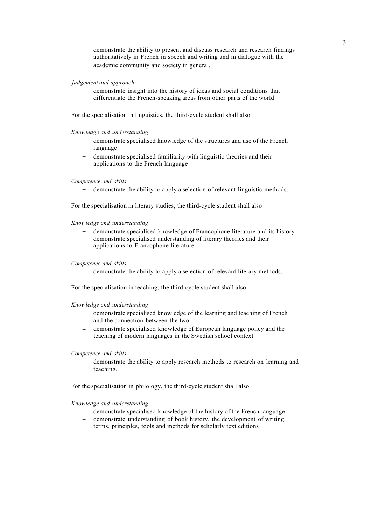– demonstrate the ability to present and discuss research and research findings authoritatively in French in speech and writing and in dialogue with the academic community and society in general.

## *fudgement and approach*

– demonstrate insight into the history of ideas and social conditions that differentiate the French-speaking areas from other parts of the world

For the specialisation in linguistics, the third-cycle student shall also

## *Knowledge and understanding*

- demonstrate specialised knowledge of the structures and use of the French language
- demonstrate specialised familiarity with linguistic theories and their applications to the French language

### *Competence and skills*

– demonstrate the ability to apply a selection of relevant linguistic methods.

For the specialisation in literary studies, the third-cycle student shall also

#### *Knowledge and understanding*

- demonstrate specialised knowledge of Francophone literature and its history
- demonstrate specialised understanding of literary theories and their applications to Francophone literature

#### *Competence and skills*

demonstrate the ability to apply a selection of relevant literary methods.

For the specialisation in teaching, the third-cycle student shall also

*Knowledge and understanding*

- demonstrate specialised knowledge of the learning and teaching of French and the connection between the two
- demonstrate specialised knowledge of European language policy and the teaching of modern languages in the Swedish school context

## *Competence and skills*

– demonstrate the ability to apply research methods to research on learning and teaching.

For the specialisation in philology, the third-cycle student shall also

#### *Knowledge and understanding*

- demonstrate specialised knowledge of the history of the French language
- demonstrate understanding of book history, the development of writing, terms, principles, tools and methods for scholarly text editions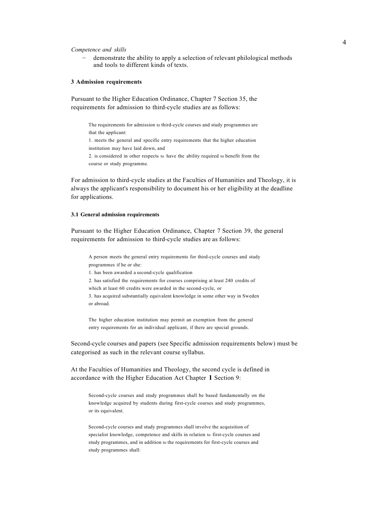*Competence and skills*

– demonstrate the ability to apply a selection of relevant philological methods and tools to different kinds of texts.

#### **3 Admission requirements**

Pursuant to the Higher Education Ordinance, Chapter 7 Section 35, the requirements for admission to third-cycle studies are as follows:

The requirements for admission to third-cycle courses and study programmes are that the applicant: 1. meets the general and specific entry requirements that the higher education institution may have laid down, and 2. is considered in other respects to have the ability required to benefit from the course or study programme.

For admission to third-cycle studies at the Faculties of Humanities and Theology, it is always the applicant's responsibility to document his or her eligibility at the deadline for applications.

### **3.1 General admission requirements**

Pursuant to the Higher Education Ordinance, Chapter 7 Section 39, the general requirements for admission to third-cycle studies are as follows:

A person meets the general entry requirements for third-cycle courses and study programmes if he or she:

1. has been awarded a second-cycle qualification

2. has satisfied the requirements for courses comprising at least 240 credits of which at least 60 credits were awarded in the second-cycle, or

3. has acquired substantially equivalent knowledge in some other way in Sweden or abroad.

The higher education institution may permit an exemption from the general entry requirements for an individual applicant, if there are special grounds.

Second-cycle courses and papers (see Specific admission requirements below) must be categorised as such in the relevant course syllabus.

At the Faculties of Humanities and Theology, the second cycle is defined in accordance with the Higher Education Act Chapter **1** Section 9:

Second-cycle courses and study programmes shall be based fundamentally on the knowledge acquired by students during first-cycle courses and study programmes, or its equivalent.

Second-cycle courses and study programmes shall involve the acquisition of specialist knowledge, competence and skills in relation to first-cycle courses and study programmes, and in addition to the requirements for first-cycle courses and study programmes shall: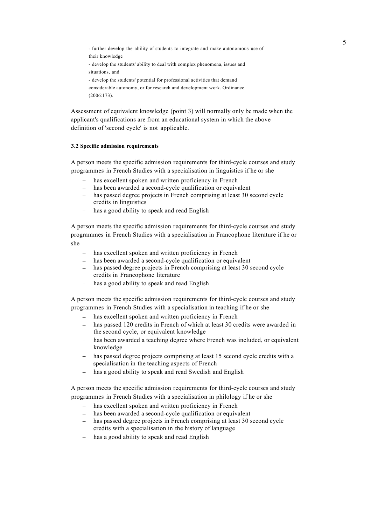<sup>5</sup> - further develop the ability of students to integrate and make autonomous use of their knowledge - develop the students' ability to deal with complex phenomena, issues and situations, and - develop the students' potential for professional activities that demand considerable autonomy, or for research and development work. Ordinance (2006:173).

Assessment of equivalent knowledge (point 3) will normally only be made when the applicant's qualifications are from an educational system in which the above definition of 'second cycle' is not applicable.

## **3.2 Specific admission requirements**

A person meets the specific admission requirements for third-cycle courses and study programmes in French Studies with a specialisation in linguistics if he or she

- has excellent spoken and written proficiency in French
- has been awarded a second-cycle qualification or equivalent
- has passed degree projects in French comprising at least 30 second cycle credits in linguistics
- has a good ability to speak and read English

A person meets the specific admission requirements for third-cycle courses and study programmes in French Studies with a specialisation in Francophone literature if he or she

- has excellent spoken and written proficiency in French
- has been awarded a second-cycle qualification or equivalent
- has passed degree projects in French comprising at least 30 second cycle credits in Francophone literature
- has a good ability to speak and read English

A person meets the specific admission requirements for third-cycle courses and study programmes in French Studies with a specialisation in teaching if he or she

- has excellent spoken and written proficiency in French
- has passed 120 credits in French of which at least 30 credits were awarded in the second cycle, or equivalent knowledge
- has been awarded a teaching degree where French was included, or equivalent knowledge
- has passed degree projects comprising at least 15 second cycle credits with a specialisation in the teaching aspects of French
- has a good ability to speak and read Swedish and English

A person meets the specific admission requirements for third-cycle courses and study programmes in French Studies with a specialisation in philology if he or she

- has excellent spoken and written proficiency in French
- has been awarded a second-cycle qualification or equivalent
- has passed degree projects in French comprising at least 30 second cycle credits with a specialisation in the history of language
- has a good ability to speak and read English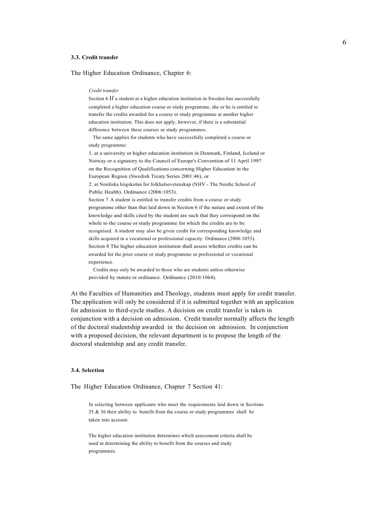#### **3.3. Credit transfer**

The Higher Education Ordinance, Chapter 6:

#### *Credit transfer*

Section 6 If a student at a higher education institution in Sweden has successfully completed a higher education course or study programme, she or he is entitled to transfer the credits awarded for a course or study programme at another higher education institution. This does not apply, however, if there is a substantial difference between these courses or study programmes.

The same applies for students who have successfully completed a course or study programme:

1. at a university or higher education institution in Denmark, Finland, Iceland or Notway or a signatory to the Council of Europe's Convention of 11 April 1997 on the Recognition of Qualifications concerning Higher Education in the European Region (Swedish Treaty Series 2001:46), or

2. at Nordiska hiigskolan for folkhalsovetenskap (NHV - The Nordic School of Public Health). Ordinance (2006:1053).

Section 7 A student is entitled to transfer credits from a course or study programme other than that laid down in Section 6 if the nature and extent of the knowledge and skills cited by the student are such that they correspond on the whole to the course or study programme for which the credits are to be recognised. A student may also be given credit for corresponding knowledge and skills acquired in a vocational or professional capacity. Ordinance (2006:1053). Section 8 The higher education institution shall assess whether credits can be awarded for the prior course or study programme or professional or vocational experience.

Credits may only be awarded to those who are students unless otherwise provided by statute or ordinance. Ordinance (2010:1064).

At the Faculties of Humanities and Theology, students must apply for credit transfer. The application will only be considered if it is submitted together with an application for admission to third-cycle studies. A decision on credit transfer is taken in conjunction with a decision on admission. Credit transfer normally affects the length of the doctoral studentship awarded in the decision on admission. In conjunction with a proposed decision, the relevant department is to propose the length of the doctoral studentship and any credit transfer.

#### **3.4. Selection**

The Higher Education Ordinance, Chapter 7 Section 41:

In selecting between applicants who meet the requirements laid down in Sections 35 & 36 their ability to benefit from the course or study programmes shall be taken into account.

The higher education institution determines which assessment criteria shall be used in determining the ability to benefit from the courses and study programmes.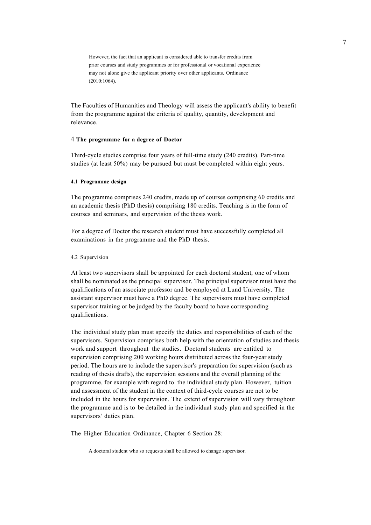However, the fact that an applicant is considered able to transfer credits from prior courses and study programmes or for professional or vocational experience may not alone give the applicant priority over other applicants. Ordinance (2010:1064).

The Faculties of Humanities and Theology will assess the applicant's ability to benefit from the programme against the criteria of quality, quantity, development and relevance.

# 4 **The programme for a degree of Doctor**

Third-cycle studies comprise four years of full-time study (240 credits). Part-time studies (at least 50%) may be pursued but must be completed within eight years.

## **4.1 Programme design**

The programme comprises 240 credits, made up of courses comprising 60 credits and an academic thesis (PhD thesis) comprising 180 credits. Teaching is in the form of courses and seminars, and supervision of the thesis work.

For a degree of Doctor the research student must have successfully completed all examinations in the programme and the PhD thesis.

#### 4.2 Supervision

At least two supervisors shall be appointed for each doctoral student, one of whom shall be nominated as the principal supervisor. The principal supervisor must have the qualifications of an associate professor and be employed at Lund University. The assistant supervisor must have a PhD degree. The supervisors must have completed supervisor training or be judged by the faculty board to have corresponding qualifications.

The individual study plan must specify the duties and responsibilities of each of the supervisors. Supervision comprises both help with the orientation of studies and thesis work and support throughout the studies. Doctoral students are entitled to supervision comprising 200 working hours distributed across the four-year study period. The hours are to include the supervisor's preparation for supervision (such as reading of thesis drafts), the supervision sessions and the overall planning of the programme, for example with regard to the individual study plan. However, tuition and assessment of the student in the context of third-cycle courses are not to be included in the hours for supervision. The extent of supervision will vary throughout the programme and is to be detailed in the individual study plan and specified in the supervisors' duties plan.

The Higher Education Ordinance, Chapter 6 Section 28:

A doctoral student who so requests shall be allowed to change supervisor.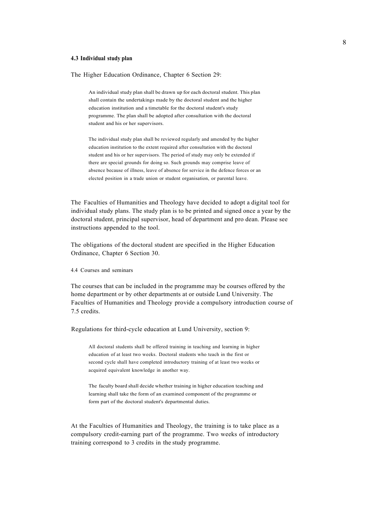## **4.3 Individual study plan**

The Higher Education Ordinance, Chapter 6 Section 29:

An individual study plan shall be drawn up for each doctoral student. This plan shall contain the undertakings made by the doctoral student and the higher education institution and a timetable for the doctoral student's study programme. The plan shall be adopted after consultation with the doctoral student and his or her supervisors.

The individual study plan shall be reviewed regularly and amended by the higher education institution to the extent required after consultation with the doctoral student and his or her supervisors. The period of study may only be extended if there are special grounds for doing so. Such grounds may comprise leave of absence because of illness, leave of absence for service in the defence forces or an elected position in a trade union or student organisation, or parental leave.

The Faculties of Humanities and Theology have decided to adopt a digital tool for individual study plans. The study plan is to be printed and signed once a year by the doctoral student, principal supervisor, head of department and pro dean. Please see instructions appended to the tool.

The obligations of the doctoral student are specified in the Higher Education Ordinance, Chapter 6 Section 30.

# 4.4 Courses and seminars

The courses that can be included in the programme may be courses offered by the home department or by other departments at or outside Lund University. The Faculties of Humanities and Theology provide a compulsory introduction course of 7.5 credits.

Regulations for third-cycle education at Lund University, section 9:

All doctoral students shall be offered training in teaching and learning in higher education of at least two weeks. Doctoral students who teach in the first or second cycle shall have completed introductory training of at least two weeks or acquired equivalent knowledge in another way.

The faculty board shall decide whether training in higher education teaching and learning shall take the form of an examined component of the programme or form part of the doctoral student's departmental duties.

At the Faculties of Humanities and Theology, the training is to take place as a compulsory credit-earning part of the programme. Two weeks of introductory training correspond to 3 credits in the study programme.